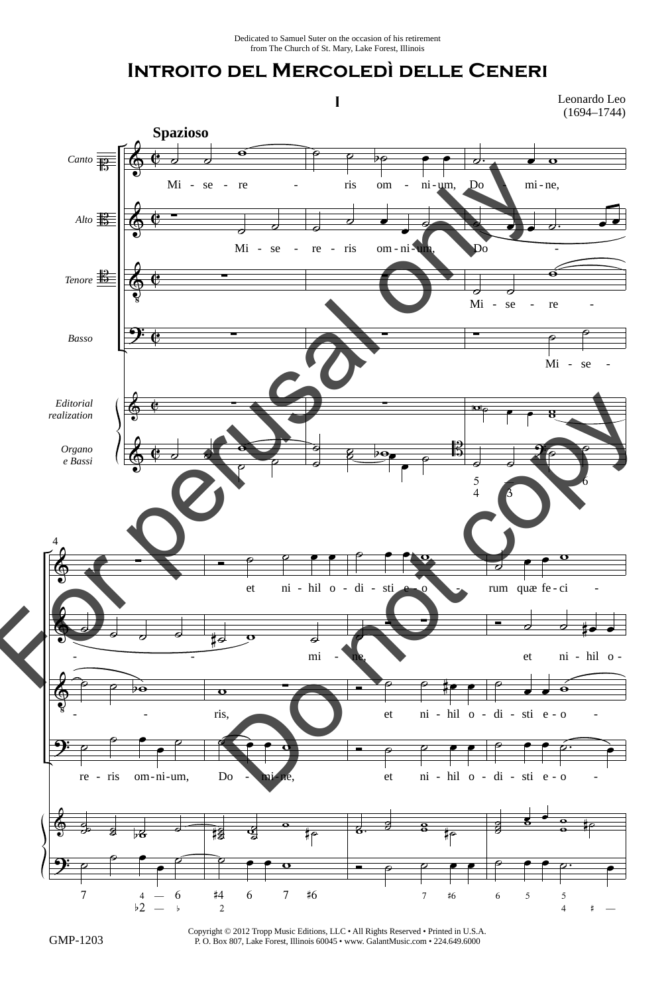## **Introito del Mercoledì delle Ceneri**





Copyright © 2012 Tropp Music Editions, LLC • All Rights Reserved • Printed in U.S.A. P. O. Box 807, Lake Forest, Illinois 60045 • www. GalantMusic.com • 224.649.6000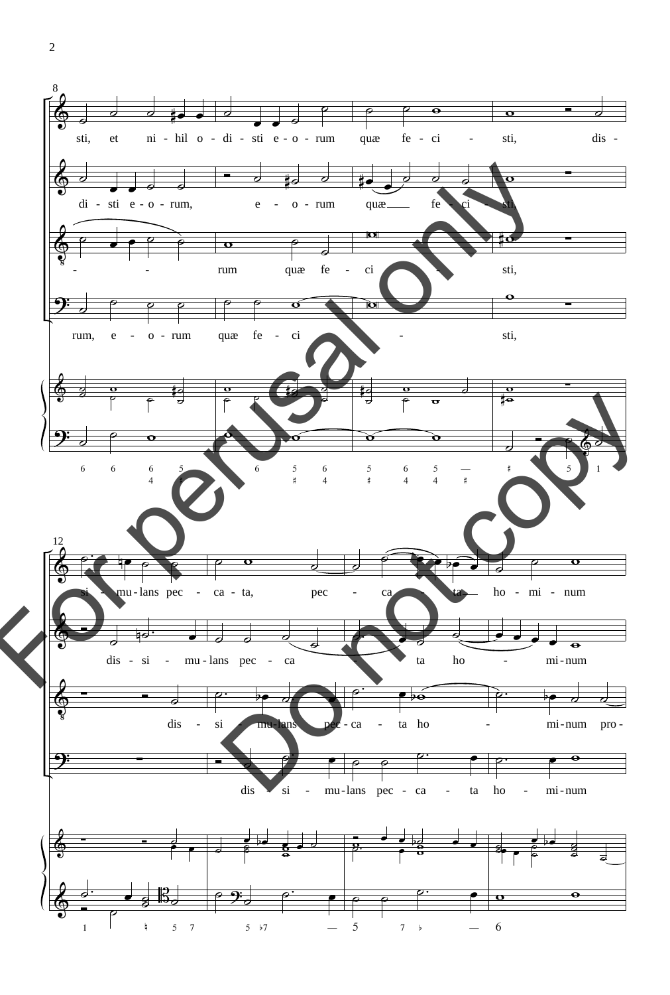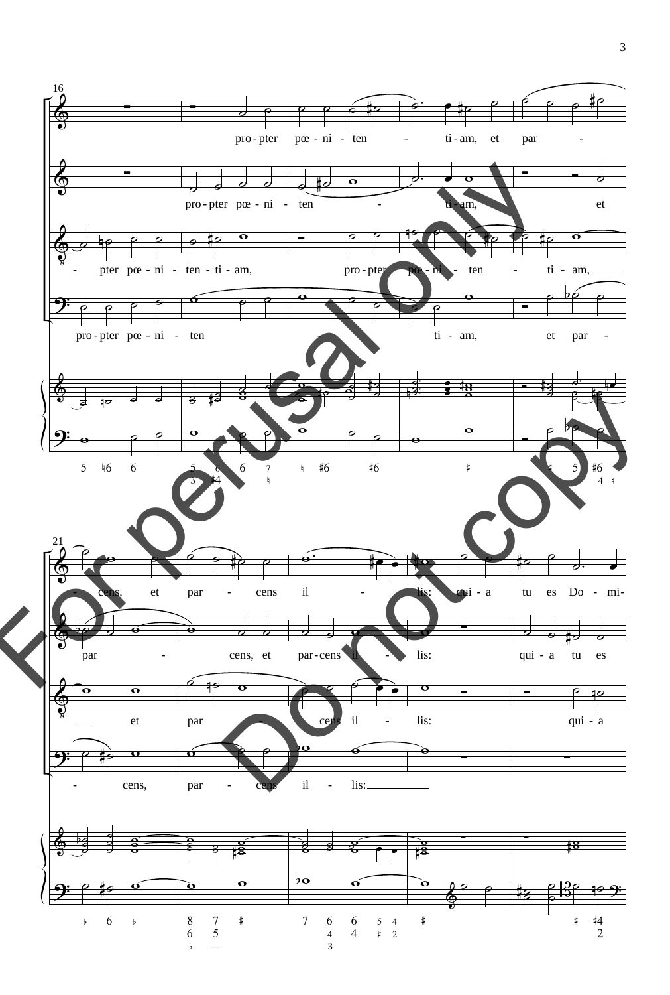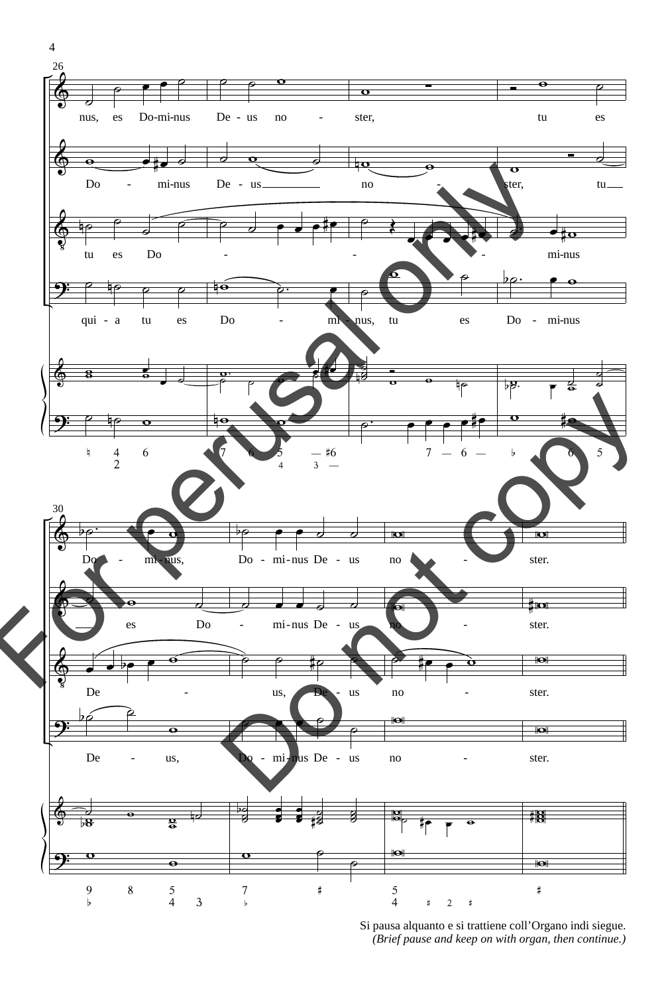



Si pausa alquanto e si trattiene coll'Organo indi siegue. *(Brief pause and keep on with organ, then continue.)*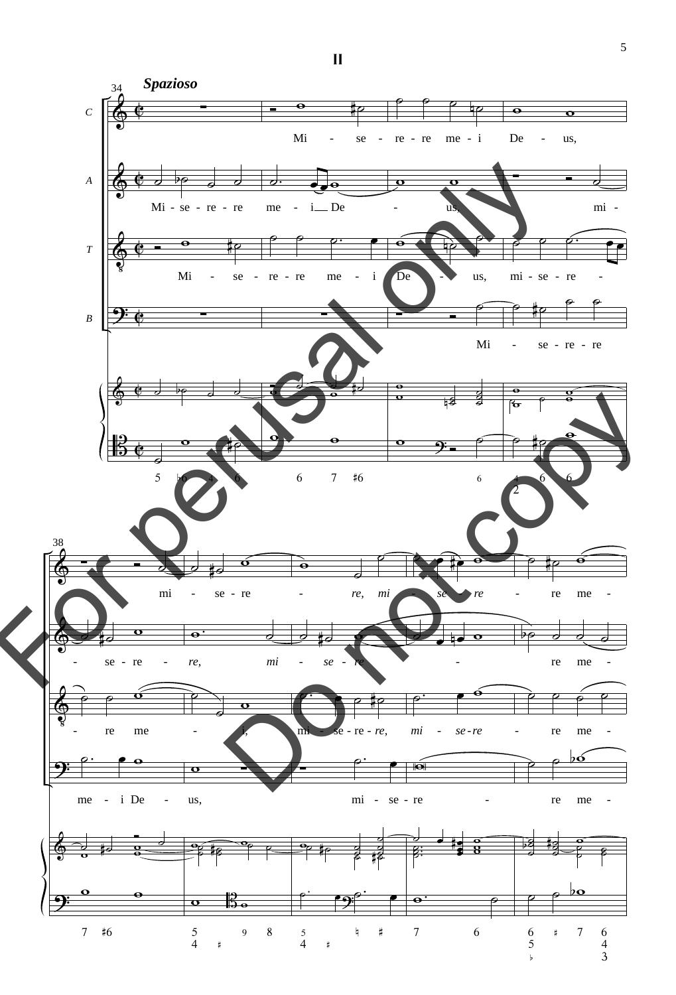

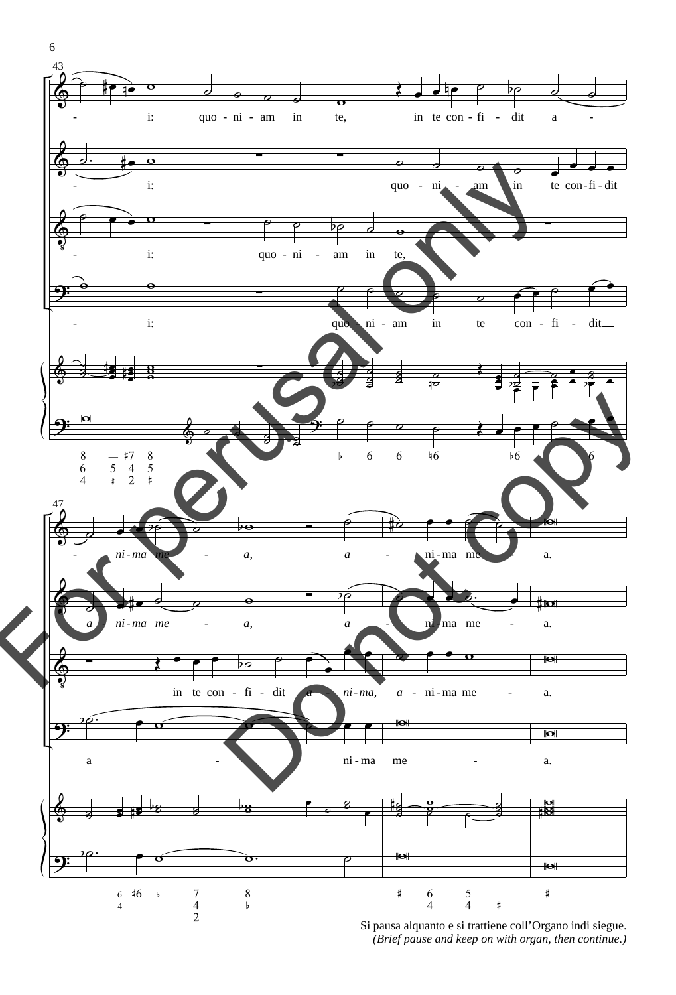

Si pausa alquanto e si trattiene coll'Organo indi siegue. *(Brief pause and keep on with organ, then continue.)*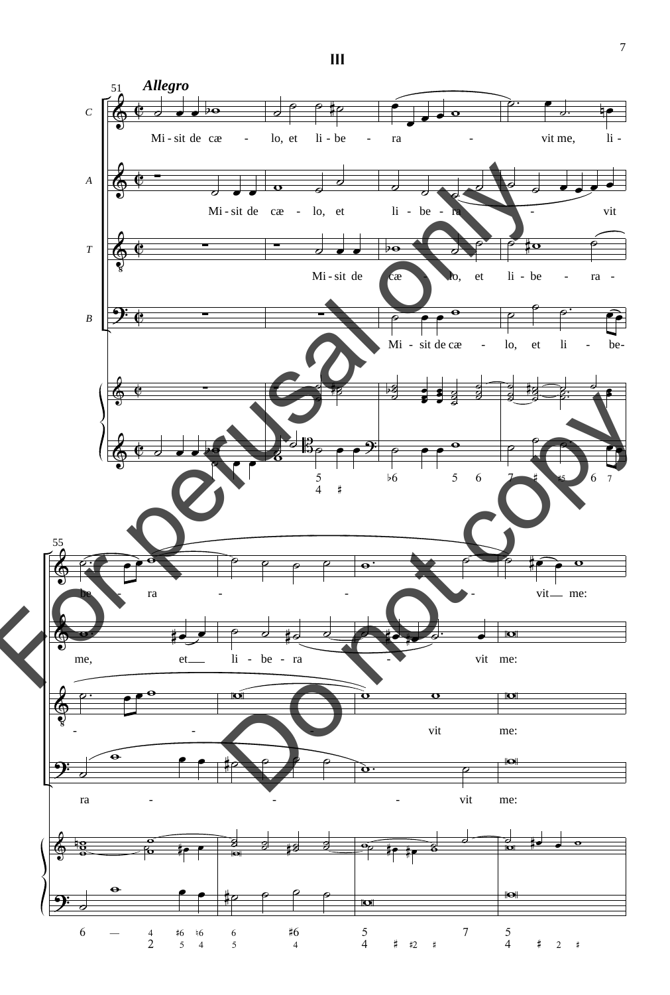

**III**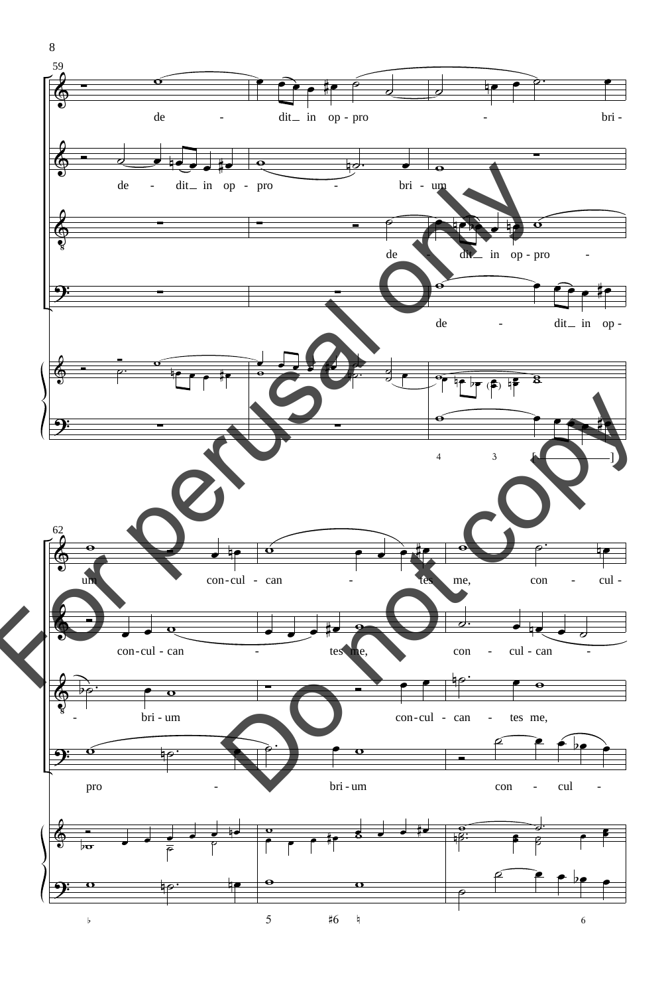

5 § H

6

8

 $\bar{\mathbf{b}}$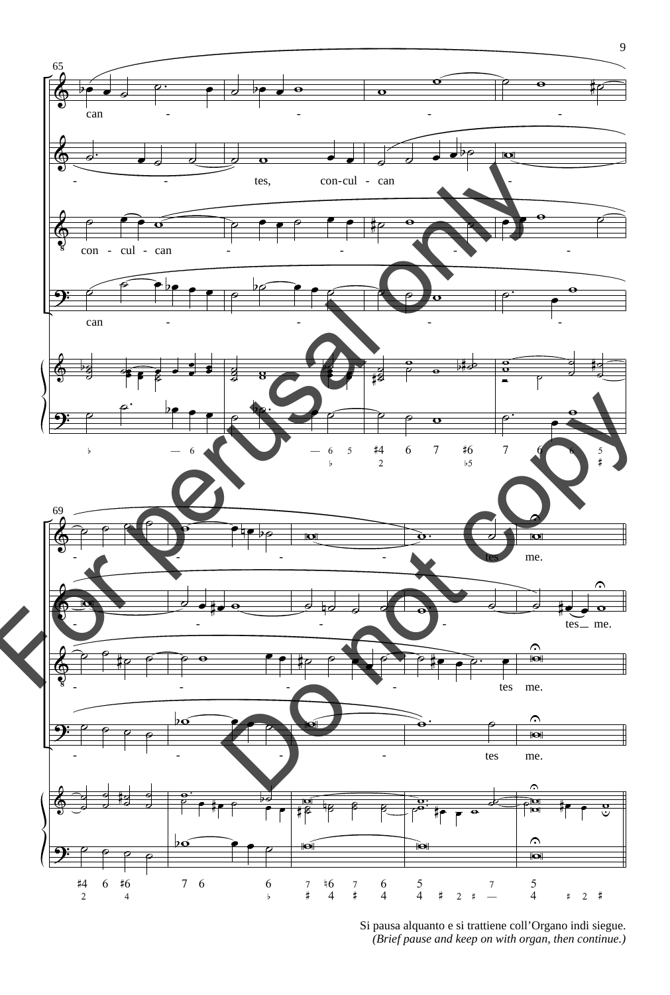

Si pausa alquanto e si trattiene coll'Organo indi siegue. *(Brief pause and keep on with organ, then continue.)*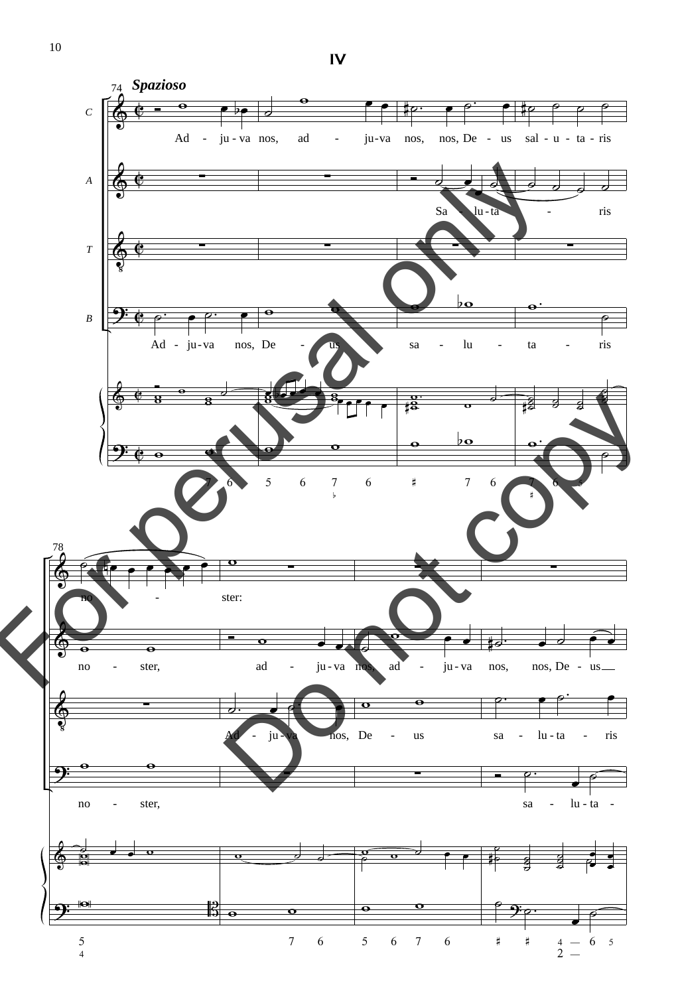



**IV**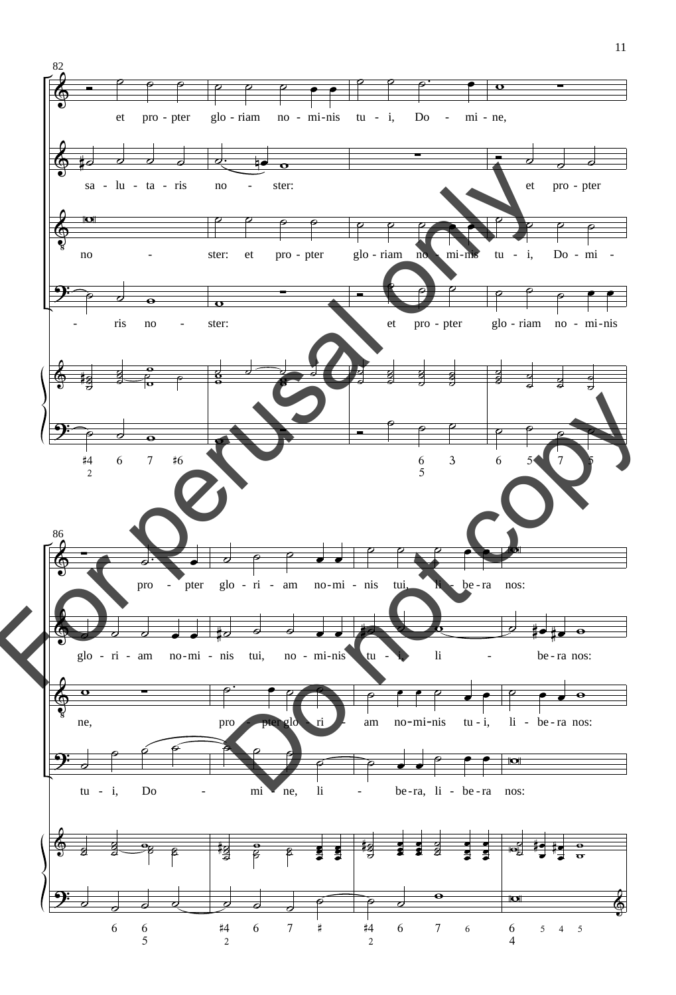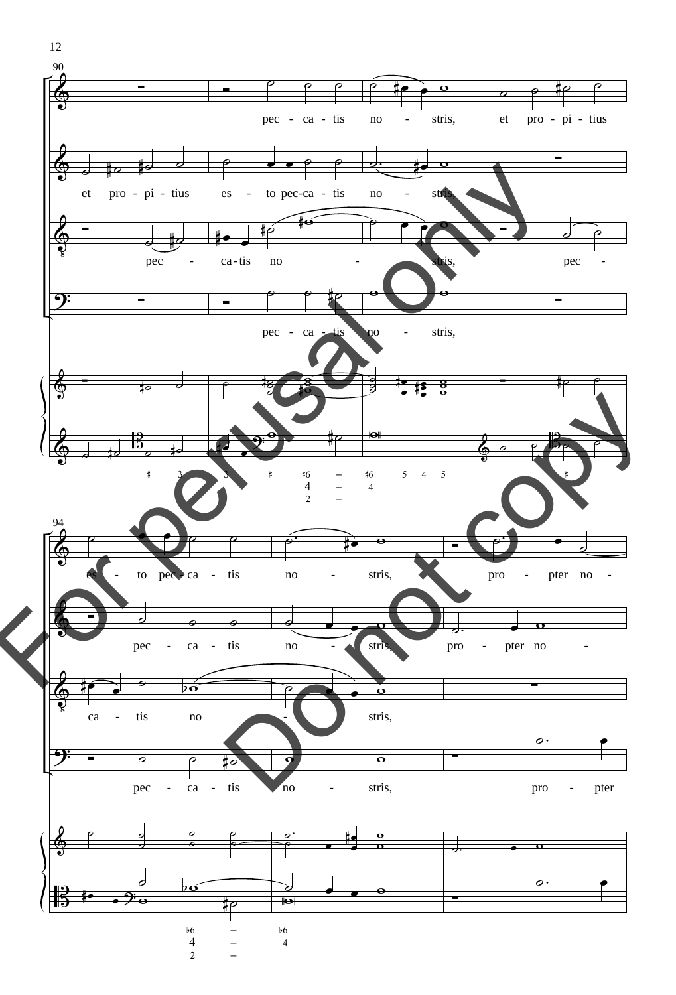